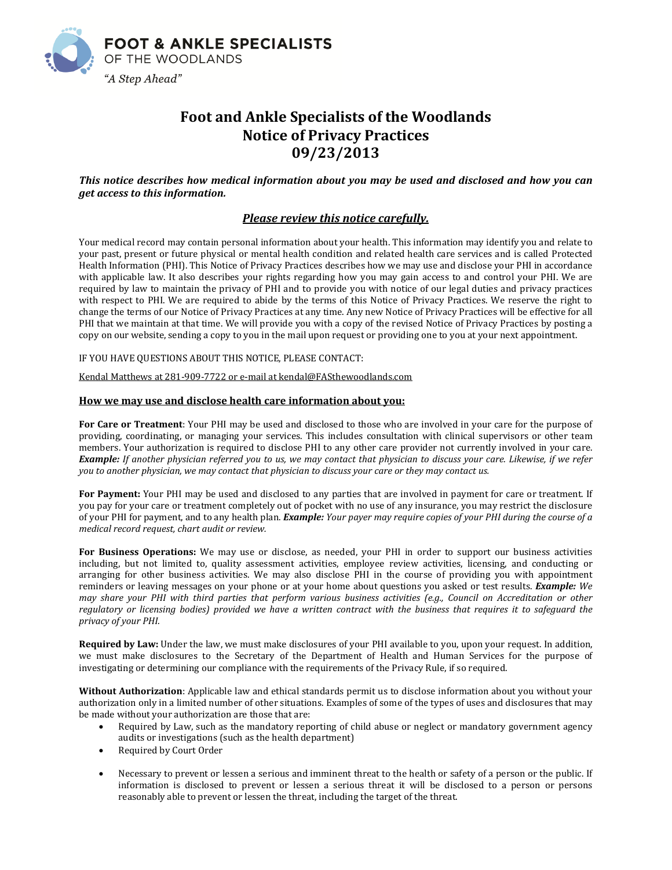

# **Foot and Ankle Specialists of the Woodlands Notice of Privacy Practices 09/23/2013**

*This notice describes how medical information about you may be used and disclosed and how you can get access to this information.*

## *Please review this notice carefully.*

Your medical record may contain personal information about your health. This information may identify you and relate to your past, present or future physical or mental health condition and related health care services and is called Protected Health Information (PHI). This Notice of Privacy Practices describes how we may use and disclose your PHI in accordance with applicable law. It also describes your rights regarding how you may gain access to and control your PHI. We are required by law to maintain the privacy of PHI and to provide you with notice of our legal duties and privacy practices with respect to PHI. We are required to abide by the terms of this Notice of Privacy Practices. We reserve the right to change the terms of our Notice of Privacy Practices at any time. Any new Notice of Privacy Practices will be effective for all PHI that we maintain at that time. We will provide you with a copy of the revised Notice of Privacy Practices by posting a copy on our website, sending a copy to you in the mail upon request or providing one to you at your next appointment.

IF YOU HAVE QUESTIONS ABOUT THIS NOTICE, PLEASE CONTACT:

Kendal Matthews at 281-909-7722 or e-mail at kendal@FASthewoodlands.com

### **How we may use and disclose health care information about you:**

**For Care or Treatment**: Your PHI may be used and disclosed to those who are involved in your care for the purpose of providing, coordinating, or managing your services. This includes consultation with clinical supervisors or other team members. Your authorization is required to disclose PHI to any other care provider not currently involved in your care. Example: If another physician referred you to us, we may contact that physician to discuss your care. Likewise, if we refer you to another physician, we may contact that physician to discuss your care or they may contact us.

**For Payment:** Your PHI may be used and disclosed to any parties that are involved in payment for care or treatment. If you pay for your care or treatment completely out of pocket with no use of any insurance, you may restrict the disclosure of your PHI for payment, and to any health plan. *Example: Your payer may require copies of your PHI during the course of a medical record request, chart audit or review.*

**For Business Operations:** We may use or disclose, as needed, your PHI in order to support our business activities including, but not limited to, quality assessment activities, employee review activities, licensing, and conducting or arranging for other business activities. We may also disclose PHI in the course of providing you with appointment reminders or leaving messages on your phone or at your home about questions you asked or test results. *Example: We* may share your PHI with third parties that perform various business activities (e.g., Council on Accreditation or other regulatory or licensing bodies) provided we have a written contract with the business that requires it to safeguard the *privacy of your PHI.*

**Required by Law:** Under the law, we must make disclosures of your PHI available to you, upon your request. In addition, we must make disclosures to the Secretary of the Department of Health and Human Services for the purpose of investigating or determining our compliance with the requirements of the Privacy Rule, if so required.

**Without Authorization**: Applicable law and ethical standards permit us to disclose information about you without your authorization only in a limited number of other situations. Examples of some of the types of uses and disclosures that may be made without your authorization are those that are:

- Required by Law, such as the mandatory reporting of child abuse or neglect or mandatory government agency audits or investigations (such as the health department)
- Required by Court Order
- Necessary to prevent or lessen a serious and imminent threat to the health or safety of a person or the public. If information is disclosed to prevent or lessen a serious threat it will be disclosed to a person or persons reasonably able to prevent or lessen the threat, including the target of the threat.